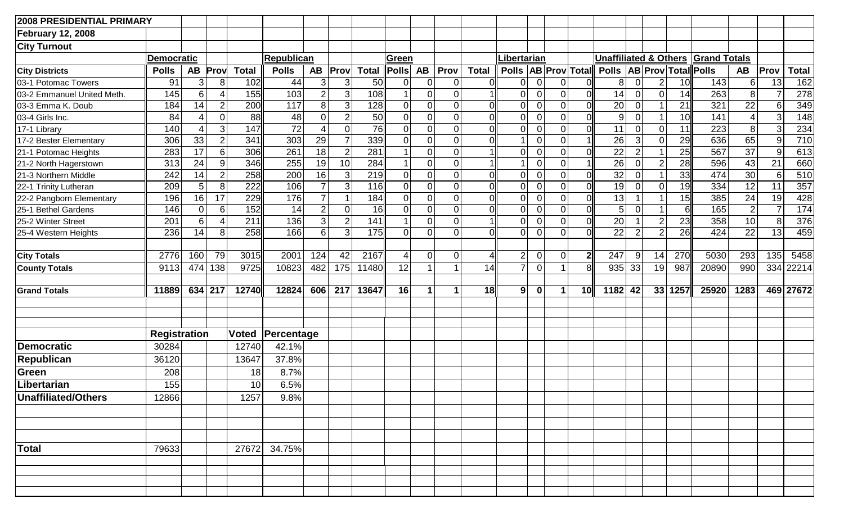| <b>2008 PRESIDENTIAL PRIMARY</b> |                     |                |                |              |              |                |                |              |                               |                |                      |                |                      |             |                |                           |                                   |                                  |                 |                     |       |                 |      |                 |
|----------------------------------|---------------------|----------------|----------------|--------------|--------------|----------------|----------------|--------------|-------------------------------|----------------|----------------------|----------------|----------------------|-------------|----------------|---------------------------|-----------------------------------|----------------------------------|-----------------|---------------------|-------|-----------------|------|-----------------|
| <b>February 12, 2008</b>         |                     |                |                |              |              |                |                |              |                               |                |                      |                |                      |             |                |                           |                                   |                                  |                 |                     |       |                 |      |                 |
| <b>City Turnout</b>              |                     |                |                |              |              |                |                |              |                               |                |                      |                |                      |             |                |                           |                                   |                                  |                 |                     |       |                 |      |                 |
|                                  | <b>Democratic</b>   |                |                |              | Republican   |                |                | Green        |                               |                | Libertarian          |                |                      |             |                |                           |                                   | <b>Unaffiliated &amp; Others</b> |                 | <b>Grand Totals</b> |       |                 |      |                 |
| <b>City Districts</b>            | <b>Polls</b>        | <b>AB</b>      | Prov           | <b>Total</b> | <b>Polls</b> | <b>AB</b>      | Prov           | <b>Total</b> | $\overline{\mathsf{P} }$ olls | <b>AB</b>      | Prov                 | <b>Total</b>   |                      |             |                | Polls   AB   Prov   Total | Polls   AB   Prov   Total   Polls |                                  |                 |                     |       | <b>AB</b>       | Prov | <b>Total</b>    |
| 03-1 Potomac Towers              | 91                  | 3 <sup>2</sup> | 8              | 102          | 44           | 3              | 3              | 50           | $\pmb{0}$                     | $\overline{0}$ | $\overline{0}$       | ΩI             | 0                    | $\Omega$    | 0              |                           | 8 <sup>1</sup>                    | $\mathbf 0$                      | $\vert 2 \vert$ | 10                  | 143   | $6 \mid$        | 13   | 162             |
| 03-2 Emmanuel United Meth.       | 145                 | 6 <sup>1</sup> | 4              | 155          | 103          | $\overline{2}$ | 3              | 108          | $\mathbf{1}$                  | $\overline{0}$ | $\pmb{0}$            |                | 0                    | $\Omega$    | $\pmb{0}$      |                           | 14                                | $\mathbf 0$                      | $\overline{0}$  | 14                  | 263   | 8 <sup>1</sup>  |      | 278             |
| 03-3 Emma K. Doub                | 184                 | 14             | $\overline{2}$ | 200          | 117          | 8              | 3              | 128          | 0                             | $\mathbf 0$    | $\overline{0}$       | $\overline{0}$ | $\overline{0}$       | ∩           | $\overline{0}$ |                           | $\overline{20}$                   | $\pmb{0}$                        | $\mathbf{1}$    | 21                  | 321   | 22              | 6    | 349             |
| 03-4 Girls Inc.                  | 84                  | 4              | 0              | 88           | 48           | $\overline{0}$ | $\overline{2}$ | 50           | $\pmb{0}$                     | $\overline{0}$ | $\overline{0}$       | 0l             | $\overline{0}$       | $\Omega$    | $\mathbf 0$    |                           | 9 <sup>°</sup>                    | $\mathbf 0$                      | $\mathbf{1}$    | 10                  | 141   | Δ               | 3    | 148             |
| 17-1 Library                     | 140                 | 4              | 3              | 147          | 72           |                | 0              | 76           | $\pmb{0}$                     | $\mathbf 0$    | $\mathbf 0$          | ΩI             | $\overline{0}$       | ∩           | $\mathbf 0$    |                           | 11                                | $\pmb{0}$                        | $\overline{0}$  | 11                  | 223   | 8 <sup>1</sup>  | 3    | 234             |
| 17-2 Bester Elementary           | 306                 | 33             | $\overline{2}$ | 341          | 303          | 29             | $\overline{7}$ | 339          | 0                             | $\mathbf 0$    | $\overline{0}$       | <sub>0</sub>   | $\blacktriangleleft$ | $\Omega$    | 0              |                           | 26                                | $\mathbf{3}$                     | 0               | 29                  | 636   | 65              | 9    | 710             |
| 21-1 Potomac Heights             | 283                 | 17             | 6              | 306          | 261          | 18             | 2              | 281          | $\overline{1}$                | $\overline{0}$ | $\overline{0}$       |                | $\overline{0}$       | $\Omega$    | $\overline{0}$ |                           | $\overline{22}$                   | $\mathbf 2$                      | 1               | 25                  | 567   | $\overline{37}$ | 9    | 613             |
| 21-2 North Hagerstown            | 313                 | 24             | 9              | 346          | 255          | 19             | 10             | 284          | $\mathbf{1}$                  | $\overline{0}$ | $\overline{0}$       |                |                      | $\Omega$    | $\mathbf 0$    |                           | $\overline{26}$                   | $\mathbf 0$                      | $\overline{2}$  | 28                  | 596   | 43              | 21   | 660             |
| 21-3 Northern Middle             | 242                 | 14             | $\overline{2}$ | 258          | 200          | 16             | 3              | 219          | $\overline{0}$                | $\overline{0}$ | $\mathbf 0$          | ΩI             | $\overline{0}$       | $\cap$      | $\pmb{0}$      |                           | 32                                | $\mathbf 0$                      | 1 <sup>1</sup>  | 33                  | 474   | 30              | 6    | 510             |
| 22-1 Trinity Lutheran            | 209                 | 5 <sup>1</sup> | 8              | 222          | 106          | $\overline{7}$ | 3              | 116          | 0                             | $\overline{0}$ | $\mathbf 0$          | 0l             | $\overline{0}$       | $\Omega$    | $\mathsf 0$    | 0                         | $\overline{19}$                   | $\pmb{0}$                        | 0               | 19                  | 334   | 12              | 11   | 357             |
| 22-2 Pangborn Elementary         | 196                 | 16             | 17             | 229          | 176          | $\overline{7}$ |                | 184          | 0                             | $\overline{0}$ | $\overline{0}$       | <sub>0</sub>   | $\overline{0}$       | $\Omega$    | $\mathsf 0$    | 0l                        | 13                                |                                  | 1 <sup>1</sup>  | 15                  | 385   | 24              | 19   | 428             |
| 25-1 Bethel Gardens              | 146                 | $\overline{0}$ | 6              | 152          | 14           | $\overline{2}$ | $\overline{0}$ | 16           | $\mathsf 0$                   | $\overline{0}$ | $\overline{0}$       | 0l             | $\mathbf 0$          | $\Omega$    | $\mathsf 0$    |                           | 5 <sup>1</sup>                    | $\mathbf 0$                      |                 | 6                   | 165   | $\overline{2}$  |      | $\frac{174}{x}$ |
| 25-2 Winter Street               | 201                 | $6 \mid$       | $\overline{4}$ | 211          | 136          | 3              | $\overline{2}$ | 141          | $\overline{1}$                | $\overline{0}$ | $\overline{0}$       |                | 0                    | 0           | $\overline{0}$ |                           | $\overline{20}$                   |                                  | 2               | 23                  | 358   | 10              | 8    | 376             |
| 25-4 Western Heights             | 236                 | 14             | 8              | 258          | 166          | 6              | 3 <sup>2</sup> | 175          | $\mathbf 0$                   | $\overline{0}$ | $\overline{0}$       | Ωl             | $\Omega$             | $\Omega$    | $\overline{0}$ |                           | 22                                | $\overline{2}$                   | $\overline{2}$  | 26                  | 424   | 22              | 13   | 459             |
|                                  |                     |                |                |              |              |                |                |              |                               |                |                      |                |                      |             |                |                           |                                   |                                  |                 |                     |       |                 |      |                 |
| <b>City Totals</b>               | 2776                | 160            | 79             | 3015         | 2001         | 124            | 42             | 2167         | $\vert 4 \vert$               | $\overline{0}$ | $\mathbf 0$          | $\overline{4}$ | 2                    | $\Omega$    | $\pmb{0}$      | $\mathbf{2}$              | 247                               | 9                                | 14              | 270                 | 5030  | 293             | 135  | 5458            |
| <b>County Totals</b>             | 9113                | 474            | 138            | 9725         | 10823        | 482            | 175            | 11480        | 12                            | $\overline{1}$ | $\overline{ }$       | 14             | $\overline{7}$       | $\Omega$    | $\overline{1}$ | 8                         | 935                               | 33                               | 19              | 987                 | 20890 | 990             | 334  | 22214           |
| <b>Grand Totals</b>              | 11889               |                | 634 217        | 12740        | 12824        | 606            | 217            | 13647        | 16                            | -1             | $\blacktriangleleft$ | 18             | 9 <sup>1</sup>       | $\mathbf 0$ | 1              | 10 <sub>l</sub>           | $1182$ 42                         |                                  |                 | 33 1257             | 25920 | 1283            |      | 469 27672       |
|                                  | <b>Registration</b> |                |                | <b>Voted</b> | Percentage   |                |                |              |                               |                |                      |                |                      |             |                |                           |                                   |                                  |                 |                     |       |                 |      |                 |
| Democratic                       | 30284               |                |                | 12740        | 42.1%        |                |                |              |                               |                |                      |                |                      |             |                |                           |                                   |                                  |                 |                     |       |                 |      |                 |
| <b>Republican</b>                | 36120               |                |                | 13647        | 37.8%        |                |                |              |                               |                |                      |                |                      |             |                |                           |                                   |                                  |                 |                     |       |                 |      |                 |
| Green                            | 208                 |                |                | 18           | 8.7%         |                |                |              |                               |                |                      |                |                      |             |                |                           |                                   |                                  |                 |                     |       |                 |      |                 |
| Libertarian                      | 155                 |                |                | 10           | 6.5%         |                |                |              |                               |                |                      |                |                      |             |                |                           |                                   |                                  |                 |                     |       |                 |      |                 |
| Unaffiliated/Others              | 12866               |                |                | 1257         | 9.8%         |                |                |              |                               |                |                      |                |                      |             |                |                           |                                   |                                  |                 |                     |       |                 |      |                 |
|                                  |                     |                |                |              |              |                |                |              |                               |                |                      |                |                      |             |                |                           |                                   |                                  |                 |                     |       |                 |      |                 |
|                                  |                     |                |                |              |              |                |                |              |                               |                |                      |                |                      |             |                |                           |                                   |                                  |                 |                     |       |                 |      |                 |
| Total                            | 79633               |                |                | 27672        | 34.75%       |                |                |              |                               |                |                      |                |                      |             |                |                           |                                   |                                  |                 |                     |       |                 |      |                 |
|                                  |                     |                |                |              |              |                |                |              |                               |                |                      |                |                      |             |                |                           |                                   |                                  |                 |                     |       |                 |      |                 |
|                                  |                     |                |                |              |              |                |                |              |                               |                |                      |                |                      |             |                |                           |                                   |                                  |                 |                     |       |                 |      |                 |
|                                  |                     |                |                |              |              |                |                |              |                               |                |                      |                |                      |             |                |                           |                                   |                                  |                 |                     |       |                 |      |                 |
|                                  |                     |                |                |              |              |                |                |              |                               |                |                      |                |                      |             |                |                           |                                   |                                  |                 |                     |       |                 |      |                 |